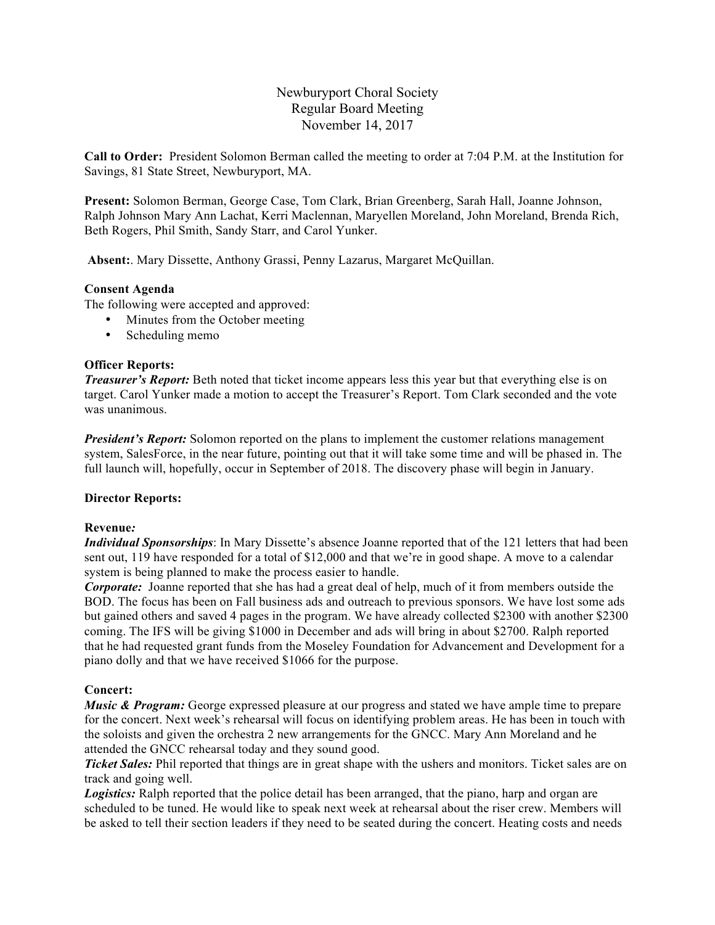Newburyport Choral Society Regular Board Meeting November 14, 2017

**Call to Order:** President Solomon Berman called the meeting to order at 7:04 P.M. at the Institution for Savings, 81 State Street, Newburyport, MA.

**Present:** Solomon Berman, George Case, Tom Clark, Brian Greenberg, Sarah Hall, Joanne Johnson, Ralph Johnson Mary Ann Lachat, Kerri Maclennan, Maryellen Moreland, John Moreland, Brenda Rich, Beth Rogers, Phil Smith, Sandy Starr, and Carol Yunker.

**Absent:**. Mary Dissette, Anthony Grassi, Penny Lazarus, Margaret McQuillan.

# **Consent Agenda**

The following were accepted and approved:

- Minutes from the October meeting
- Scheduling memo

# **Officer Reports:**

*Treasurer's Report:* Beth noted that ticket income appears less this year but that everything else is on target. Carol Yunker made a motion to accept the Treasurer's Report. Tom Clark seconded and the vote was unanimous.

*President's Report:* Solomon reported on the plans to implement the customer relations management system, SalesForce, in the near future, pointing out that it will take some time and will be phased in. The full launch will, hopefully, occur in September of 2018. The discovery phase will begin in January.

## **Director Reports:**

## **Revenue***:*

*Individual Sponsorships*: In Mary Dissette's absence Joanne reported that of the 121 letters that had been sent out, 119 have responded for a total of \$12,000 and that we're in good shape. A move to a calendar system is being planned to make the process easier to handle.

*Corporate:* Joanne reported that she has had a great deal of help, much of it from members outside the BOD. The focus has been on Fall business ads and outreach to previous sponsors. We have lost some ads but gained others and saved 4 pages in the program. We have already collected \$2300 with another \$2300 coming. The IFS will be giving \$1000 in December and ads will bring in about \$2700. Ralph reported that he had requested grant funds from the Moseley Foundation for Advancement and Development for a piano dolly and that we have received \$1066 for the purpose.

# **Concert:**

*Music & Program:* George expressed pleasure at our progress and stated we have ample time to prepare for the concert. Next week's rehearsal will focus on identifying problem areas. He has been in touch with the soloists and given the orchestra 2 new arrangements for the GNCC. Mary Ann Moreland and he attended the GNCC rehearsal today and they sound good.

*Ticket Sales:* Phil reported that things are in great shape with the ushers and monitors. Ticket sales are on track and going well.

**Logistics:** Ralph reported that the police detail has been arranged, that the piano, harp and organ are scheduled to be tuned. He would like to speak next week at rehearsal about the riser crew. Members will be asked to tell their section leaders if they need to be seated during the concert. Heating costs and needs